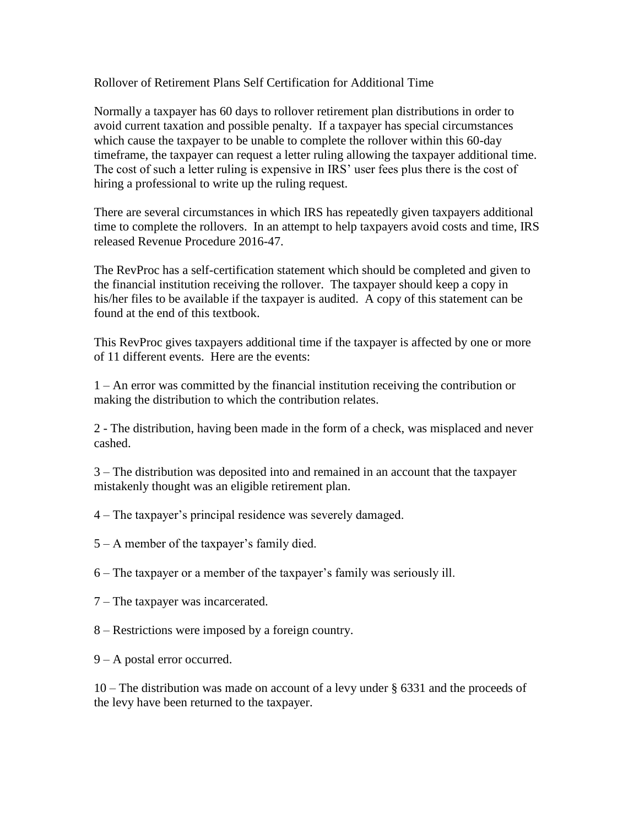Rollover of Retirement Plans Self Certification for Additional Time

Normally a taxpayer has 60 days to rollover retirement plan distributions in order to avoid current taxation and possible penalty. If a taxpayer has special circumstances which cause the taxpayer to be unable to complete the rollover within this 60-day timeframe, the taxpayer can request a letter ruling allowing the taxpayer additional time. The cost of such a letter ruling is expensive in IRS' user fees plus there is the cost of hiring a professional to write up the ruling request.

There are several circumstances in which IRS has repeatedly given taxpayers additional time to complete the rollovers. In an attempt to help taxpayers avoid costs and time, IRS released Revenue Procedure 2016-47.

The RevProc has a self-certification statement which should be completed and given to the financial institution receiving the rollover. The taxpayer should keep a copy in his/her files to be available if the taxpayer is audited. A copy of this statement can be found at the end of this textbook.

This RevProc gives taxpayers additional time if the taxpayer is affected by one or more of 11 different events. Here are the events:

1 – An error was committed by the financial institution receiving the contribution or making the distribution to which the contribution relates.

2 - The distribution, having been made in the form of a check, was misplaced and never cashed.

3 – The distribution was deposited into and remained in an account that the taxpayer mistakenly thought was an eligible retirement plan.

- 4 The taxpayer's principal residence was severely damaged.
- 5 A member of the taxpayer's family died.

6 – The taxpayer or a member of the taxpayer's family was seriously ill.

- 7 The taxpayer was incarcerated.
- 8 Restrictions were imposed by a foreign country.
- 9 A postal error occurred.

10 – The distribution was made on account of a levy under § 6331 and the proceeds of the levy have been returned to the taxpayer.